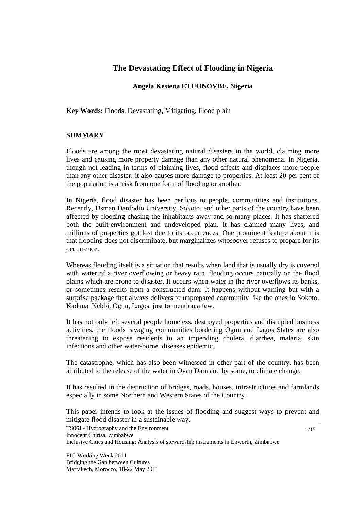# **The Devastating Effect of Flooding in Nigeria**

### **Angela Kesiena ETUONOVBE, Nigeria**

**Key Words:** Floods, Devastating, Mitigating, Flood plain

#### **SUMMARY**

Floods are among the most devastating natural disasters in the world, claiming more lives and causing more property damage than any other natural phenomena. In Nigeria, though not leading in terms of claiming lives, flood affects and displaces more people than any other disaster; it also causes more damage to properties. At least 20 per cent of the population is at risk from one form of flooding or another.

In Nigeria, flood disaster has been perilous to people, communities and institutions. Recently, Usman Danfodio University, Sokoto, and other parts of the country have been affected by flooding chasing the inhabitants away and so many places. It has shattered both the built-environment and undeveloped plan. It has claimed many lives, and millions of properties got lost due to its occurrences. One prominent feature about it is that flooding does not discriminate, but marginalizes whosoever refuses to prepare for its occurrence.

Whereas flooding itself is a situation that results when land that is usually dry is covered with water of a river overflowing or heavy rain, flooding occurs naturally on the flood plains which are prone to disaster. It occurs when water in the river overflows its banks, or sometimes results from a constructed dam. It happens without warning but with a surprise package that always delivers to unprepared community like the ones in Sokoto, Kaduna, Kebbi, Ogun, Lagos, just to mention a few.

It has not only left several people homeless, destroyed properties and disrupted business activities, the floods ravaging communities bordering Ogun and Lagos States are also threatening to expose residents to an impending cholera, diarrhea, malaria, skin infections and other water-borne diseases epidemic.

The catastrophe, which has also been witnessed in other part of the country, has been attributed to the release of the water in Oyan Dam and by some, to climate change.

It has resulted in the destruction of bridges, roads, houses, infrastructures and farmlands especially in some Northern and Western States of the Country.

This paper intends to look at the issues of flooding and suggest ways to prevent and mitigate flood disaster in a sustainable way.

TS06J - Hydrography and the Environment Innocent Chirisa, Zimbabwe Inclusive Cities and Housing: Analysis of stewardship instruments in Epworth, Zimbabwe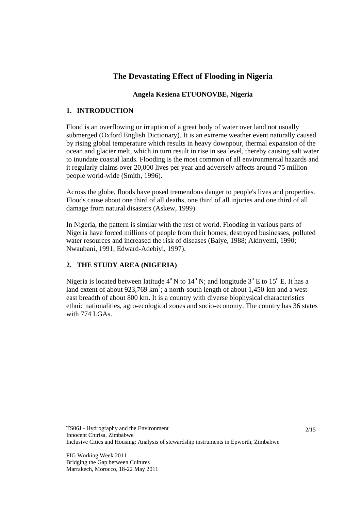# **The Devastating Effect of Flooding in Nigeria**

# **Angela Kesiena ETUONOVBE, Nigeria**

## **1. INTRODUCTION**

Flood is an overflowing or irruption of a great body of water over land not usually submerged (Oxford English Dictionary). It is an extreme weather event naturally caused by rising global temperature which results in heavy downpour, thermal expansion of the ocean and glacier melt, which in turn result in rise in sea level, thereby causing salt water to inundate coastal lands. Flooding is the most common of all environmental hazards and it regularly claims over 20,000 lives per year and adversely affects around 75 million people world-wide (Smith, 1996).

Across the globe, floods have posed tremendous danger to people's lives and properties. Floods cause about one third of all deaths, one third of all injuries and one third of all damage from natural disasters (Askew, 1999).

In Nigeria, the pattern is similar with the rest of world. Flooding in various parts of Nigeria have forced millions of people from their homes, destroyed businesses, polluted water resources and increased the risk of diseases (Baiye, 1988; Akinyemi, 1990; Nwaubani, 1991; Edward-Adebiyi, 1997).

# **2. THE STUDY AREA (NIGERIA)**

Nigeria is located between latitude  $4^{\circ}$  N to  $14^{\circ}$  N; and longitude  $3^{\circ}$  E to  $15^{\circ}$  E. It has a land extent of about 923,769  $km^2$ ; a north-south length of about 1,450-km and a westeast breadth of about 800 km. It is a country with diverse biophysical characteristics ethnic nationalities, agro-ecological zones and socio-economy. The country has 36 states with 774 LGAs.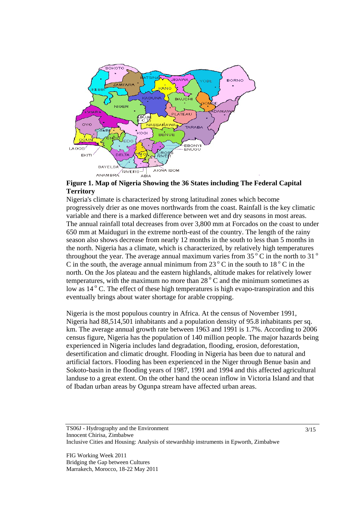

**Figure 1. Map of Nigeria Showing the 36 States including The Federal Capital Territory** 

Nigeria's climate is characterized by strong latitudinal zones which become progressively drier as one moves northwards from the coast. Rainfall is the key climatic variable and there is a marked difference between wet and dry seasons in most areas. The annual rainfall total decreases from over 3,800 mm at Forcados on the coast to under 650 mm at Maiduguri in the extreme north-east of the country. The length of the rainy season also shows decrease from nearly 12 months in the south to less than 5 months in the north. Nigeria has a climate, which is characterized, by relatively high temperatures throughout the year. The average annual maximum varies from  $35\,^{\circ}$ C in the north to  $31\,^{\circ}$ C in the south, the average annual minimum from  $23^\circ$  C in the south to  $18^\circ$  C in the north. On the Jos plateau and the eastern highlands, altitude makes for relatively lower temperatures, with the maximum no more than  $28^\circ$ C and the minimum sometimes as low as 14<sup>°</sup> C. The effect of these high temperatures is high evapo-transpiration and this eventually brings about water shortage for arable cropping.

Nigeria is the most populous country in Africa. At the census of November 1991, Nigeria had 88,514,501 inhabitants and a population density of 95.8 inhabitants per sq. km. The average annual growth rate between 1963 and 1991 is 1.7%. According to 2006 census figure, Nigeria has the population of 140 million people. The major hazards being experienced in Nigeria includes land degradation, flooding, erosion, deforestation, desertification and climatic drought. Flooding in Nigeria has been due to natural and artificial factors. Flooding has been experienced in the Niger through Benue basin and Sokoto-basin in the flooding years of 1987, 1991 and 1994 and this affected agricultural landuse to a great extent. On the other hand the ocean inflow in Victoria Island and that of Ibadan urban areas by Ogunpa stream have affected urban areas.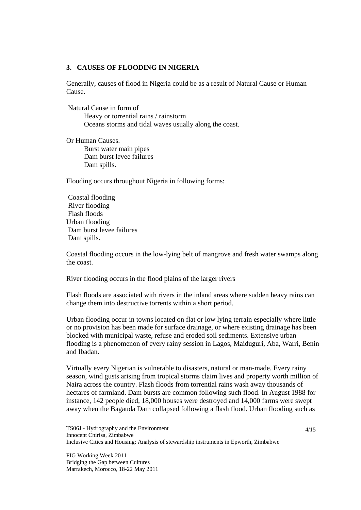#### **3. CAUSES OF FLOODING IN NIGERIA**

Generally, causes of flood in Nigeria could be as a result of Natural Cause or Human Cause.

Natural Cause in form of

 Heavy or torrential rains / rainstorm Oceans storms and tidal waves usually along the coast.

Or Human Causes. Burst water main pipes Dam burst levee failures Dam spills.

Flooding occurs throughout Nigeria in following forms:

 Coastal flooding River flooding Flash floods Urban flooding Dam burst levee failures Dam spills.

Coastal flooding occurs in the low-lying belt of mangrove and fresh water swamps along the coast.

River flooding occurs in the flood plains of the larger rivers

Flash floods are associated with rivers in the inland areas where sudden heavy rains can change them into destructive torrents within a short period.

Urban flooding occur in towns located on flat or low lying terrain especially where little or no provision has been made for surface drainage, or where existing drainage has been blocked with municipal waste, refuse and eroded soil sediments. Extensive urban flooding is a phenomenon of every rainy session in Lagos, Maiduguri, Aba, Warri, Benin and Ibadan.

Virtually every Nigerian is vulnerable to disasters, natural or man-made. Every rainy season, wind gusts arising from tropical storms claim lives and property worth million of Naira across the country. Flash floods from torrential rains wash away thousands of hectares of farmland. Dam bursts are common following such flood. In August 1988 for instance, 142 people died, 18,000 houses were destroyed and 14,000 farms were swept away when the Bagauda Dam collapsed following a flash flood. Urban flooding such as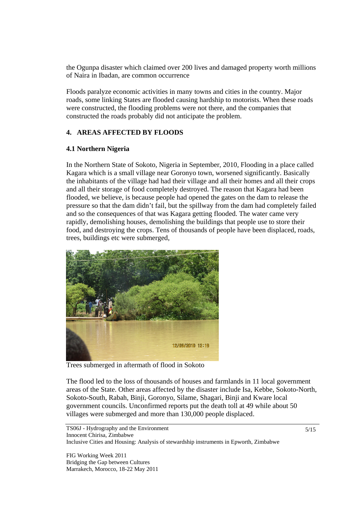the Ogunpa disaster which claimed over 200 lives and damaged property worth millions of Naira in Ibadan, are common occurrence

Floods paralyze economic activities in many towns and cities in the country. Major roads, some linking States are flooded causing hardship to motorists. When these roads were constructed, the flooding problems were not there, and the companies that constructed the roads probably did not anticipate the problem.

### **4. AREAS AFFECTED BY FLOODS**

#### **4.1 Northern Nigeria**

In the Northern State of Sokoto, Nigeria in September, 2010, Flooding in a place called Kagara which is a small village near Goronyo town, worsened significantly. Basically the inhabitants of the village had had their village and all their homes and all their crops and all their storage of food completely destroyed. The reason that Kagara had been flooded, we believe, is because people had opened the gates on the dam to release the pressure so that the dam didn't fail, but the spillway from the dam had completely failed and so the consequences of that was Kagara getting flooded. The water came very rapidly, demolishing houses, demolishing the buildings that people use to store their food, and destroying the crops. Tens of thousands of people have been displaced, roads, trees, buildings etc were submerged,



Trees submerged in aftermath of flood in Sokoto

The flood led to the loss of thousands of houses and farmlands in 11 local government areas of the State. Other areas affected by the disaster include Isa, Kebbe, Sokoto-North, Sokoto-South, Rabah, Binji, Goronyo, Silame, Shagari, Binji and Kware local government councils. Unconfirmed reports put the death toll at 49 while about 50 villages were submerged and more than 130,000 people displaced.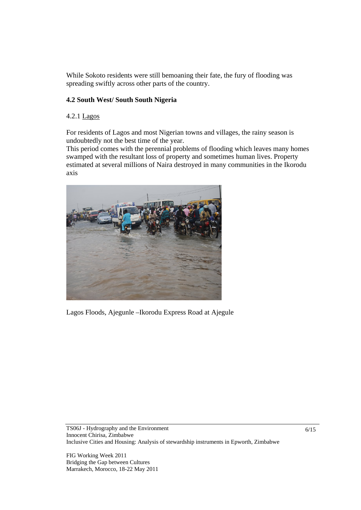While Sokoto residents were still bemoaning their fate, the fury of flooding was spreading swiftly across other parts of the country.

## **4.2 South West/ South South Nigeria**

#### 4.2.1 Lagos

For residents of Lagos and most Nigerian towns and villages, the rainy season is undoubtedly not the best time of the year.

This period comes with the perennial problems of flooding which leaves many homes swamped with the resultant loss of property and sometimes human lives. Property estimated at several millions of Naira destroyed in many communities in the Ikorodu axis



Lagos Floods, Ajegunle –Ikorodu Express Road at Ajegule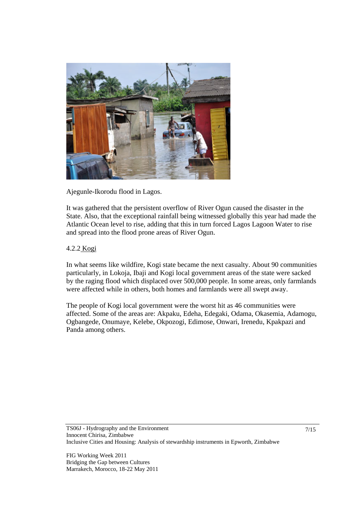

Ajegunle-Ikorodu flood in Lagos.

It was gathered that the persistent overflow of River Ogun caused the disaster in the State. Also, that the exceptional rainfall being witnessed globally this year had made the Atlantic Ocean level to rise, adding that this in turn forced Lagos Lagoon Water to rise and spread into the flood prone areas of River Ogun.

### 4.2.2 Kogi

In what seems like wildfire, Kogi state became the next casualty. About 90 communities particularly, in Lokoja, Ibaji and Kogi local government areas of the state were sacked by the raging flood which displaced over 500,000 people. In some areas, only farmlands were affected while in others, both homes and farmlands were all swept away.

The people of Kogi local government were the worst hit as 46 communities were affected. Some of the areas are: Akpaku, Edeha, Edegaki, Odama, Okasemia, Adamogu, Ogbangede, Onumaye, Kelebe, Okpozogi, Edimose, Onwari, Irenedu, Kpakpazi and Panda among others.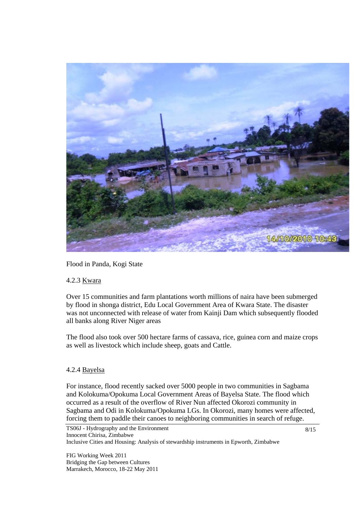

Flood in Panda, Kogi State

#### 4.2.3 Kwara

Over 15 communities and farm plantations worth millions of naira have been submerged by flood in shonga district, Edu Local Government Area of Kwara State. The disaster was not unconnected with release of water from Kainji Dam which subsequently flooded all banks along River Niger areas

The flood also took over 500 hectare farms of cassava, rice, guinea corn and maize crops as well as livestock which include sheep, goats and Cattle.

#### 4.2.4 Bayelsa

For instance, flood recently sacked over 5000 people in two communities in Sagbama and Kolokuma/Opokuma Local Government Areas of Bayelsa State. The flood which occurred as a result of the overflow of River Nun affected Okorozi community in Sagbama and Odi in Kolokuma/Opokuma LGs. In Okorozi, many homes were affected, forcing them to paddle their canoes to neighboring communities in search of refuge.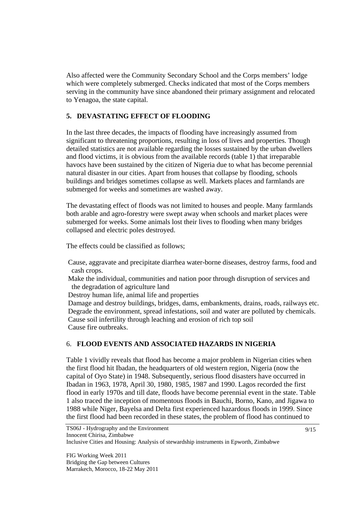Also affected were the Community Secondary School and the Corps members' lodge which were completely submerged. Checks indicated that most of the Corps members serving in the community have since abandoned their primary assignment and relocated to Yenagoa, the state capital.

## **5. DEVASTATING EFFECT OF FLOODING**

In the last three decades, the impacts of flooding have increasingly assumed from significant to threatening proportions, resulting in loss of lives and properties. Though detailed statistics are not available regarding the losses sustained by the urban dwellers and flood victims, it is obvious from the available records (table 1) that irreparable havocs have been sustained by the citizen of Nigeria due to what has become perennial natural disaster in our cities. Apart from houses that collapse by flooding, schools buildings and bridges sometimes collapse as well. Markets places and farmlands are submerged for weeks and sometimes are washed away.

The devastating effect of floods was not limited to houses and people. Many farmlands both arable and agro-forestry were swept away when schools and market places were submerged for weeks. Some animals lost their lives to flooding when many bridges collapsed and electric poles destroyed.

The effects could be classified as follows;

 Cause, aggravate and precipitate diarrhea water-borne diseases, destroy farms, food and cash crops.

 Make the individual, communities and nation poor through disruption of services and the degradation of agriculture land

Destroy human life, animal life and properties

 Damage and destroy buildings, bridges, dams, embankments, drains, roads, railways etc. Degrade the environment, spread infestations, soil and water are polluted by chemicals. Cause soil infertility through leaching and erosion of rich top soil Cause fire outbreaks.

## 6. **FLOOD EVENTS AND ASSOCIATED HAZARDS IN NIGERIA**

Table 1 vividly reveals that flood has become a major problem in Nigerian cities when the first flood hit Ibadan, the headquarters of old western region, Nigeria (now the capital of Oyo State) in 1948. Subsequently, serious flood disasters have occurred in Ibadan in 1963, 1978, April 30, 1980, 1985, 1987 and 1990. Lagos recorded the first flood in early 1970s and till date, floods have become perennial event in the state. Table 1 also traced the inception of momentous floods in Bauchi, Borno, Kano, and Jigawa to 1988 while Niger, Bayelsa and Delta first experienced hazardous floods in 1999. Since the first flood had been recorded in these states, the problem of flood has continued to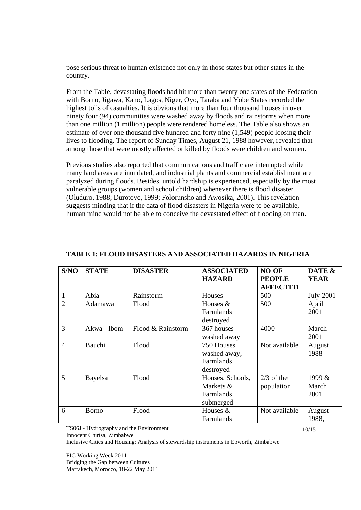pose serious threat to human existence not only in those states but other states in the country.

From the Table, devastating floods had hit more than twenty one states of the Federation with Borno, Jigawa, Kano, Lagos, Niger, Oyo, Taraba and Yobe States recorded the highest tolls of casualties. It is obvious that more than four thousand houses in over ninety four (94) communities were washed away by floods and rainstorms when more than one million (1 million) people were rendered homeless. The Table also shows an estimate of over one thousand five hundred and forty nine (1,549) people loosing their lives to flooding. The report of Sunday Times, August 21, 1988 however, revealed that among those that were mostly affected or killed by floods were children and women.

Previous studies also reported that communications and traffic are interrupted while many land areas are inundated, and industrial plants and commercial establishment are paralyzed during floods. Besides, untold hardship is experienced, especially by the most vulnerable groups (women and school children) whenever there is flood disaster (Oluduro, 1988; Durotoye, 1999; Folorunsho and Awosika, 2001). This revelation suggests minding that if the data of flood disasters in Nigeria were to be available, human mind would not be able to conceive the devastated effect of flooding on man.

| S/NO           | <b>STATE</b> | <b>DISASTER</b>   | <b>ASSOCIATED</b> | <b>NO OF</b>    | DATE &           |
|----------------|--------------|-------------------|-------------------|-----------------|------------------|
|                |              |                   | <b>HAZARD</b>     | <b>PEOPLE</b>   | <b>YEAR</b>      |
|                |              |                   |                   | <b>AFFECTED</b> |                  |
| $\mathbf{1}$   | Abia         | Rainstorm         | Houses            | 500             | <b>July 2001</b> |
| $\overline{2}$ | Adamawa      | Flood             | Houses &          | 500             | April            |
|                |              |                   | Farmlands         |                 | 2001             |
|                |              |                   | destroyed         |                 |                  |
| 3              | Akwa - Ibom  | Flood & Rainstorm | 367 houses        | 4000            | March            |
|                |              |                   | washed away       |                 | 2001             |
| $\overline{4}$ | Bauchi       | Flood             | 750 Houses        | Not available   | August           |
|                |              |                   | washed away,      |                 | 1988             |
|                |              |                   | Farmlands         |                 |                  |
|                |              |                   | destroyed         |                 |                  |
| 5              | Bayelsa      | Flood             | Houses, Schools,  | $2/3$ of the    | 1999 &           |
|                |              |                   | Markets &         | population      | March            |
|                |              |                   | Farmlands         |                 | 2001             |
|                |              |                   | submerged         |                 |                  |
| 6              | <b>Borno</b> | Flood             | Houses &          | Not available   | August           |
|                |              |                   | Farmlands         |                 | 1988,            |

#### **TABLE 1: FLOOD DISASTERS AND ASSOCIATED HAZARDS IN NIGERIA**

TS06J - Hydrography and the Environment

Innocent Chirisa, Zimbabwe

Inclusive Cities and Housing: Analysis of stewardship instruments in Epworth, Zimbabwe

FIG Working Week 2011 Bridging the Gap between Cultures Marrakech, Morocco, 18-22 May 2011 10/15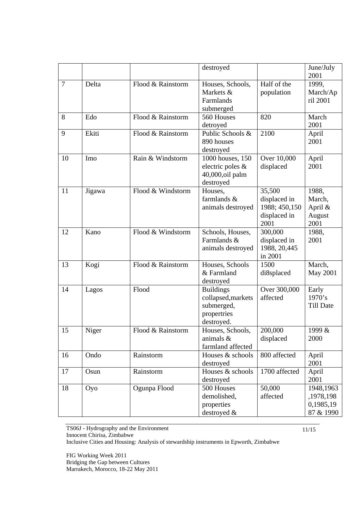|                |        |                   | destroyed                                                                         |                                                                 | June/July<br>2001                                |
|----------------|--------|-------------------|-----------------------------------------------------------------------------------|-----------------------------------------------------------------|--------------------------------------------------|
| $\overline{7}$ | Delta  | Flood & Rainstorm | Houses, Schools,<br>Markets &<br>Farmlands<br>submerged                           | Half of the<br>population                                       | 1999,<br>March/Ap<br>ril 2001                    |
| 8              | Edo    | Flood & Rainstorm | 560 Houses<br>detroyed                                                            | 820                                                             | March<br>2001                                    |
| 9              | Ekiti  | Flood & Rainstorm | Public Schools &<br>890 houses<br>destroyed                                       | 2100                                                            | April<br>2001                                    |
| 10             | Imo    | Rain & Windstorm  | 1000 houses, 150<br>electric poles &<br>40,000,oil palm<br>destroyed              | Over 10,000<br>displaced                                        | April<br>2001                                    |
| 11             | Jigawa | Flood & Windstorm | Houses,<br>farmlands &<br>animals destroyed                                       | 35,500<br>displaced in<br>1988; 450,150<br>displaced in<br>2001 | 1988,<br>March,<br>April &<br>August<br>2001     |
| 12             | Kano   | Flood & Windstorm | Schools, Houses,<br>Farmlands &<br>animals destroyed                              | 300,000<br>displaced in<br>1988, 20,445<br>in 2001              | 1988,<br>2001                                    |
| 13             | Kogi   | Flood & Rainstorm | Houses, Schools<br>& Farmland<br>destroyed                                        | 1500<br>di8splaced                                              | March,<br><b>May 2001</b>                        |
| 14             | Lagos  | Flood             | <b>Buildings</b><br>collapsed, markets<br>submerged,<br>propertries<br>destroyed. | Over 300,000<br>affected                                        | Early<br>1970's<br><b>Till Date</b>              |
| 15             | Niger  | Flood & Rainstorm | Houses, Schools,<br>animals &<br>farmland affected                                | 200,000<br>displaced                                            | 1999 &<br>2000                                   |
| 16             | Ondo   | Rainstorm         | Houses & schools<br>destroyed                                                     | 800 affected                                                    | April<br>2001                                    |
| 17             | Osun   | Rainstorm         | Houses & schools<br>destroyed                                                     | 1700 affected                                                   | April<br>2001                                    |
| 18             | Oyo    | Ogunpa Flood      | 500 Houses<br>demolished,<br>properties<br>destroyed &                            | 50,000<br>affected                                              | 1948,1963<br>,1978,198<br>0,1985,19<br>87 & 1990 |

TS06J - Hydrography and the Environment

Innocent Chirisa, Zimbabwe

Inclusive Cities and Housing: Analysis of stewardship instruments in Epworth, Zimbabwe

FIG Working Week 2011 Bridging the Gap between Cultures Marrakech, Morocco, 18-22 May 2011 11/15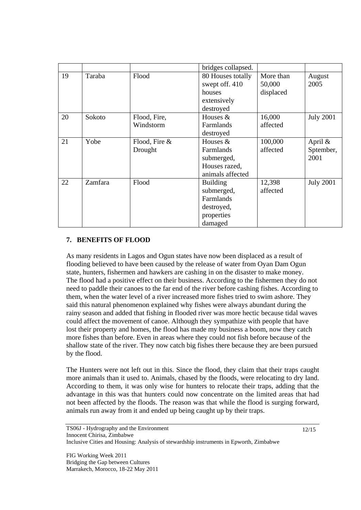|    |         |               | bridges collapsed. |           |                  |
|----|---------|---------------|--------------------|-----------|------------------|
| 19 | Taraba  | Flood         | 80 Houses totally  | More than | August           |
|    |         |               | swept off. 410     | 50,000    | 2005             |
|    |         |               | houses             | displaced |                  |
|    |         |               | extensively        |           |                  |
|    |         |               | destroyed          |           |                  |
| 20 | Sokoto  | Flood, Fire,  | Houses &           | 16,000    | <b>July 2001</b> |
|    |         | Windstorm     | Farmlands          | affected  |                  |
|    |         |               | destroyed          |           |                  |
| 21 | Yobe    | Flood, Fire & | Houses &           | 100,000   | April &          |
|    |         | Drought       | Farmlands          | affected  | Sptember,        |
|    |         |               | submerged,         |           | 2001             |
|    |         |               | Houses razed,      |           |                  |
|    |         |               | animals affected   |           |                  |
| 22 | Zamfara | Flood         | <b>Building</b>    | 12,398    | <b>July 2001</b> |
|    |         |               | submerged,         | affected  |                  |
|    |         |               | Farmlands          |           |                  |
|    |         |               | destroyed,         |           |                  |
|    |         |               | properties         |           |                  |
|    |         |               | damaged            |           |                  |

## **7. BENEFITS OF FLOOD**

As many residents in Lagos and Ogun states have now been displaced as a result of flooding believed to have been caused by the release of water from Oyan Dam Ogun state, hunters, fishermen and hawkers are cashing in on the disaster to make money. The flood had a positive effect on their business. According to the fishermen they do not need to paddle their canoes to the far end of the river before cashing fishes. According to them, when the water level of a river increased more fishes tried to swim ashore. They said this natural phenomenon explained why fishes were always abundant during the rainy season and added that fishing in flooded river was more hectic because tidal waves could affect the movement of canoe. Although they sympathize with people that have lost their property and homes, the flood has made my business a boom, now they catch more fishes than before. Even in areas where they could not fish before because of the shallow state of the river. They now catch big fishes there because they are been pursued by the flood.

The Hunters were not left out in this. Since the flood, they claim that their traps caught more animals than it used to. Animals, chased by the floods, were relocating to dry land. According to them, it was only wise for hunters to relocate their traps, adding that the advantage in this was that hunters could now concentrate on the limited areas that had not been affected by the floods. The reason was that while the flood is surging forward, animals run away from it and ended up being caught up by their traps.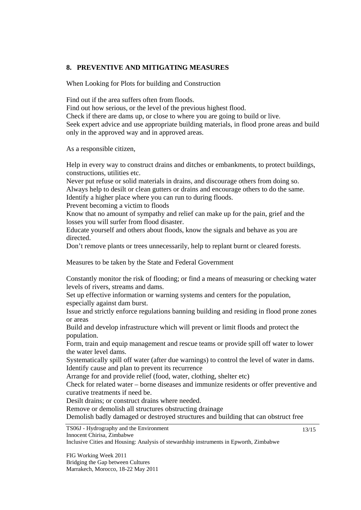#### **8. PREVENTIVE AND MITIGATING MEASURES**

When Looking for Plots for building and Construction

Find out if the area suffers often from floods.

Find out how serious, or the level of the previous highest flood.

Check if there are dams up, or close to where you are going to build or live.

Seek expert advice and use appropriate building materials, in flood prone areas and build only in the approved way and in approved areas.

As a responsible citizen,

Help in every way to construct drains and ditches or embankments, to protect buildings, constructions, utilities etc.

Never put refuse or solid materials in drains, and discourage others from doing so. Always help to desilt or clean gutters or drains and encourage others to do the same.

Identify a higher place where you can run to during floods.

Prevent becoming a victim to floods

Know that no amount of sympathy and relief can make up for the pain, grief and the losses you will surfer from flood disaster.

Educate yourself and others about floods, know the signals and behave as you are directed.

Don't remove plants or trees unnecessarily, help to replant burnt or cleared forests.

Measures to be taken by the State and Federal Government

Constantly monitor the risk of flooding; or find a means of measuring or checking water levels of rivers, streams and dams.

Set up effective information or warning systems and centers for the population, especially against dam burst.

Issue and strictly enforce regulations banning building and residing in flood prone zones or areas

Build and develop infrastructure which will prevent or limit floods and protect the population.

Form, train and equip management and rescue teams or provide spill off water to lower the water level dams.

Systematically spill off water (after due warnings) to control the level of water in dams. Identify cause and plan to prevent its recurrence

Arrange for and provide relief (food, water, clothing, shelter etc)

Check for related water – borne diseases and immunize residents or offer preventive and curative treatments if need be.

Desilt drains; or construct drains where needed.

Remove or demolish all structures obstructing drainage

Demolish badly damaged or destroyed structures and building that can obstruct free

TS06J - Hydrography and the Environment Innocent Chirisa, Zimbabwe

Inclusive Cities and Housing: Analysis of stewardship instruments in Epworth, Zimbabwe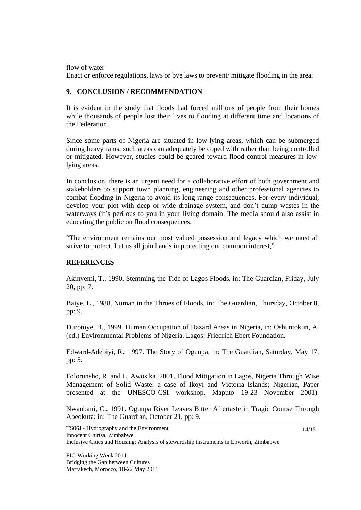flow of water

Enact or enforce regulations, laws or bye laws to prevent/ mitigate flooding in the area.

### **9. CONCLUSION / RECOMMENDATION**

It is evident in the study that floods had forced millions of people from their homes while thousands of people lost their lives to flooding at different time and locations of the Federation.

Since some parts of Nigeria are situated in low-lying areas, which can be submerged during heavy rains, such areas can adequately be coped with rather than being controlled or mitigated. However, studies could be geared toward flood control measures in lowlying areas.

In conclusion, there is an urgent need for a collaborative effort of both government and stakeholders to support town planning, engineering and other professional agencies to combat flooding in Nigeria to avoid its long-range consequences. For every individual, develop your plot with deep or wide drainage system, and don't dump wastes in the waterways (it's perilous to you in your living domain. The media should also assist in educating the public on flood consequences.

"The environment remains our most valued possession and legacy which we must all strive to protect. Let us all join hands in protecting our common interest,"

### **REFERENCES**

Akinyemi, T., 1990. Stemming the Tide of Lagos Floods, in: The Guardian, Friday, July 20, pp: 7.

Baiye, E., 1988. Numan in the Throes of Floods, in: The Guardian, Thursday, October 8, pp: 9.

Durotoye, B., 1999. Human Occupation of Hazard Areas in Nigeria, in: Oshuntokun, A. (ed.) Environmental Problems of Nigeria. Lagos: Friedrich Ebert Foundation.

Edward-Adebiyi, R., 1997. The Story of Ogunpa, in: The Guardian, Saturday, May 17, pp: 5.

Folorunsho, R. and L. Awosika, 2001. Flood Mitigation in Lagos, Nigeria Through Wise Management of Solid Waste: a case of Ikoyi and Victoria Islands; Nigerian, Paper presented at the UNESCO-CSI workshop, Maputo 19-23 November 2001).

Nwaubani, C., 1991. Ogunpa River Leaves Bitter Aftertaste in Tragic Course Through Abeokuta; in: The Guardian, October 21, pp: 9.